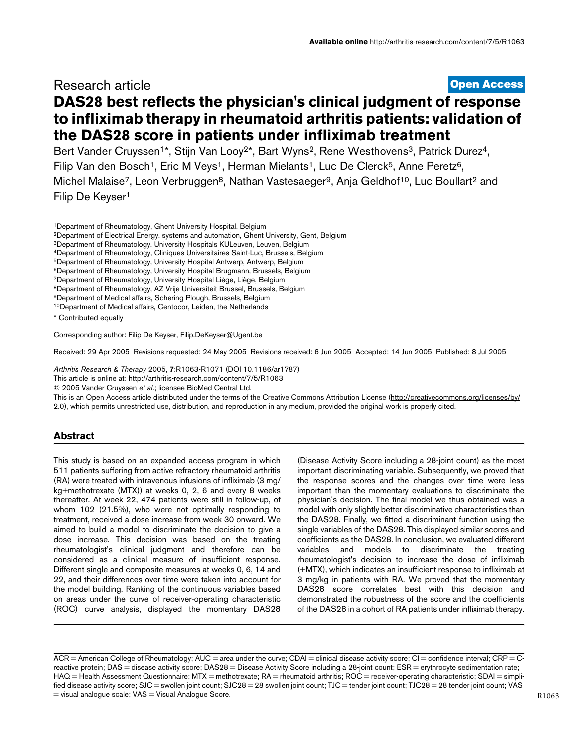## Research article

**[Open Access](http://www.biomedcentral.com/info/about/charter/)**

# **DAS28 best reflects the physician's clinical judgment of response to infliximab therapy in rheumatoid arthritis patients: validation of the DAS28 score in patients under infliximab treatment**

Bert Vander Cruyssen<sup>1\*</sup>, Stijn Van Looy<sup>2\*</sup>, Bart Wyns<sup>2</sup>, Rene Westhovens<sup>3</sup>, Patrick Durez<sup>4</sup>, Filip Van den Bosch<sup>1</sup>, Eric M Veys<sup>1</sup>, Herman Mielants<sup>1</sup>, Luc De Clerck<sup>5</sup>, Anne Peretz<sup>6</sup>, Michel Malaise<sup>7</sup>, Leon Verbruggen<sup>8</sup>, Nathan Vastesaeger<sup>9</sup>, Anja Geldhof<sup>10</sup>, Luc Boullart<sup>2</sup> and Filip De Keyser1

- 2Department of Electrical Energy, systems and automation, Ghent University, Gent, Belgium
- 3Department of Rheumatology, University Hospitals KULeuven, Leuven, Belgium
- 4Department of Rheumatology, Cliniques Universitaires Saint-Luc, Brussels, Belgium
- 5Department of Rheumatology, University Hospital Antwerp, Antwerp, Belgium
- 6Department of Rheumatology, University Hospital Brugmann, Brussels, Belgium
- 7Department of Rheumatology, University Hospital Liège, Liège, Belgium
- 8Department of Rheumatology, AZ Vrije Universiteit Brussel, Brussels, Belgium
- 9Department of Medical affairs, Schering Plough, Brussels, Belgium
- 10Department of Medical affairs, Centocor, Leiden, the Netherlands

Corresponding author: Filip De Keyser, Filip.DeKeyser@Ugent.be

Received: 29 Apr 2005 Revisions requested: 24 May 2005 Revisions received: 6 Jun 2005 Accepted: 14 Jun 2005 Published: 8 Jul 2005

*Arthritis Research & Therapy* 2005, **7**:R1063-R1071 (DOI 10.1186/ar1787)

[This article is online at: http://arthritis-research.com/content/7/5/R1063](http://arthritis-research.com/content/7/5/R1063)

© 2005 Vander Cruyssen *et al*.; licensee BioMed Central Ltd.

This is an Open Access article distributed under the terms of the Creative Commons Attribution License ([http://creativecommons.org/licenses/by/](http://creativecommons.org/licenses/by/2.0) [2.0\)](http://creativecommons.org/licenses/by/2.0), which permits unrestricted use, distribution, and reproduction in any medium, provided the original work is properly cited.

## **Abstract**

This study is based on an expanded access program in which 511 patients suffering from active refractory rheumatoid arthritis (RA) were treated with intravenous infusions of infliximab (3 mg/ kg+methotrexate (MTX)) at weeks 0, 2, 6 and every 8 weeks thereafter. At week 22, 474 patients were still in follow-up, of whom 102 (21.5%), who were not optimally responding to treatment, received a dose increase from week 30 onward. We aimed to build a model to discriminate the decision to give a dose increase. This decision was based on the treating rheumatologist's clinical judgment and therefore can be considered as a clinical measure of insufficient response. Different single and composite measures at weeks 0, 6, 14 and 22, and their differences over time were taken into account for the model building. Ranking of the continuous variables based on areas under the curve of receiver-operating characteristic (ROC) curve analysis, displayed the momentary DAS28

(Disease Activity Score including a 28-joint count) as the most important discriminating variable. Subsequently, we proved that the response scores and the changes over time were less important than the momentary evaluations to discriminate the physician's decision. The final model we thus obtained was a model with only slightly better discriminative characteristics than the DAS28. Finally, we fitted a discriminant function using the single variables of the DAS28. This displayed similar scores and coefficients as the DAS28. In conclusion, we evaluated different variables and models to discriminate the treating rheumatologist's decision to increase the dose of infliximab (+MTX), which indicates an insufficient response to infliximab at 3 mg/kg in patients with RA. We proved that the momentary DAS28 score correlates best with this decision and demonstrated the robustness of the score and the coefficients of the DAS28 in a cohort of RA patients under infliximab therapy.

<sup>1</sup>Department of Rheumatology, Ghent University Hospital, Belgium

<sup>\*</sup> Contributed equally

 $\overline{ACR}$  = American College of Rheumatology; AUC = area under the curve; CDAI = clinical disease activity score; CI = confidence interval;  $\overline{CRP}$  =  $\overline{C}$ reactive protein; DAS = disease activity score; DAS28 = Disease Activity Score including a 28-joint count; ESR = erythrocyte sedimentation rate; HAQ = Health Assessment Questionnaire; MTX = methotrexate; RA = rheumatoid arthritis; ROC = receiver-operating characteristic; SDAI = simplified disease activity score; SJC = swollen joint count; SJC28 = 28 swollen joint count; TJC = tender joint count; TJC28 = 28 tender joint count; VAS = visual analogue scale; VAS = Visual Analogue Score.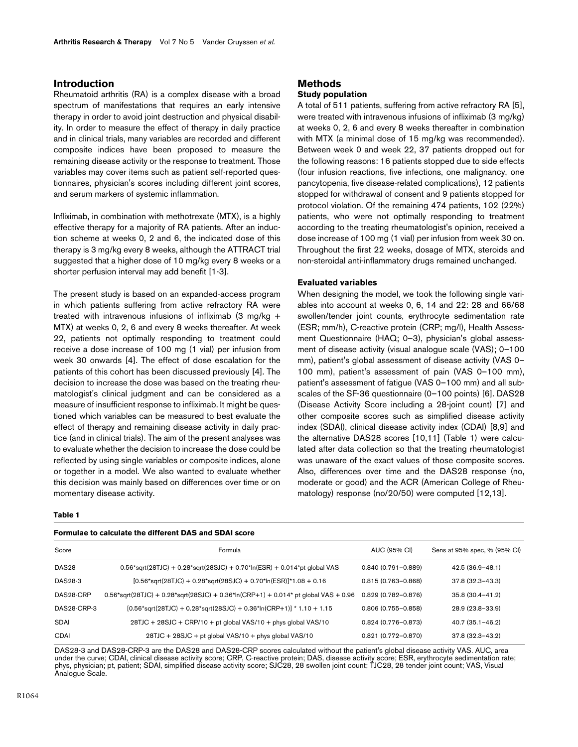## **Introduction**

Rheumatoid arthritis (RA) is a complex disease with a broad spectrum of manifestations that requires an early intensive therapy in order to avoid joint destruction and physical disability. In order to measure the effect of therapy in daily practice and in clinical trials, many variables are recorded and different composite indices have been proposed to measure the remaining disease activity or the response to treatment. Those variables may cover items such as patient self-reported questionnaires, physician's scores including different joint scores, and serum markers of systemic inflammation.

Infliximab, in combination with methotrexate (MTX), is a highly effective therapy for a majority of RA patients. After an induction scheme at weeks 0, 2 and 6, the indicated dose of this therapy is 3 mg/kg every 8 weeks, although the ATTRACT trial suggested that a higher dose of 10 mg/kg every 8 weeks or a shorter perfusion interval may add benefit [1-3].

The present study is based on an expanded-access program in which patients suffering from active refractory RA were treated with intravenous infusions of infliximab (3 mg/kg + MTX) at weeks 0, 2, 6 and every 8 weeks thereafter. At week 22, patients not optimally responding to treatment could receive a dose increase of 100 mg (1 vial) per infusion from week 30 onwards [4]. The effect of dose escalation for the patients of this cohort has been discussed previously [4]. The decision to increase the dose was based on the treating rheumatologist's clinical judgment and can be considered as a measure of insufficient response to infliximab. It might be questioned which variables can be measured to best evaluate the effect of therapy and remaining disease activity in daily practice (and in clinical trials). The aim of the present analyses was to evaluate whether the decision to increase the dose could be reflected by using single variables or composite indices, alone or together in a model. We also wanted to evaluate whether this decision was mainly based on differences over time or on momentary disease activity.

#### **Methods Study population**

A total of 511 patients, suffering from active refractory RA [5], were treated with intravenous infusions of infliximab (3 mg/kg) at weeks 0, 2, 6 and every 8 weeks thereafter in combination with MTX (a minimal dose of 15 mg/kg was recommended). Between week 0 and week 22, 37 patients dropped out for the following reasons: 16 patients stopped due to side effects (four infusion reactions, five infections, one malignancy, one pancytopenia, five disease-related complications), 12 patients stopped for withdrawal of consent and 9 patients stopped for protocol violation. Of the remaining 474 patients, 102 (22%) patients, who were not optimally responding to treatment according to the treating rheumatologist's opinion, received a dose increase of 100 mg (1 vial) per infusion from week 30 on. Throughout the first 22 weeks, dosage of MTX, steroids and non-steroidal anti-inflammatory drugs remained unchanged.

#### **Evaluated variables**

When designing the model, we took the following single variables into account at weeks 0, 6, 14 and 22: 28 and 66/68 swollen/tender joint counts, erythrocyte sedimentation rate (ESR; mm/h), C-reactive protein (CRP; mg/l), Health Assessment Questionnaire (HAQ; 0–3), physician's global assessment of disease activity (visual analogue scale (VAS); 0–100 mm), patient's global assessment of disease activity (VAS 0– 100 mm), patient's assessment of pain (VAS 0–100 mm), patient's assessment of fatigue (VAS 0–100 mm) and all subscales of the SF-36 questionnaire (0–100 points) [6]. DAS28 (Disease Activity Score including a 28-joint count) [7] and other composite scores such as simplified disease activity index (SDAI), clinical disease activity index (CDAI) [8,9] and the alternative DAS28 scores [10,11] (Table [1](#page-1-0)) were calculated after data collection so that the treating rheumatologist was unaware of the exact values of those composite scores. Also, differences over time and the DAS28 response (no, moderate or good) and the ACR (American College of Rheumatology) response (no/20/50) were computed [12,13].

#### <span id="page-1-0"></span>**Table 1**

## **Formulae to calculate the different DAS and SDAI score**

| Score             | Formula                                                                                          | AUC (95% CI)           | Sens at 95% spec, % (95% CI) |
|-------------------|--------------------------------------------------------------------------------------------------|------------------------|------------------------------|
| DAS <sub>28</sub> | $0.56*$ sqrt(28TJC) + $0.28*$ sqrt(28SJC) + $0.70*$ ln(ESR) + $0.014*$ pt qlobal VAS             | $0.840(0.791 - 0.889)$ | $42.5(36.9 - 48.1)$          |
| <b>DAS28-3</b>    | $[0.56*$ sqrt(28TJC) + 0.28*sqrt(28SJC) + 0.70*ln(ESR)]*1.08 + 0.16                              | $0.815(0.763 - 0.868)$ | $37.8(32.3 - 43.3)$          |
| DAS28-CRP         | $0.56*$ sqrt $(28TJC) + 0.28*$ sqrt $(28SJC) + 0.36*$ ln $(CRP+1) + 0.014*$ pt global VAS + 0.96 | $0.829(0.782 - 0.876)$ | $35.8(30.4 - 41.2)$          |
| DAS28-CRP-3       | $[0.56*sqrt(28T)C] + 0.28*sqrt(28S)C] + 0.36*ln(CRP+1)] * 1.10 + 1.15$                           | $0.806(0.755 - 0.858)$ | 28.9 (23.8-33.9)             |
| <b>SDAI</b>       | 28TJC + 28SJC + CRP/10 + pt global VAS/10 + phys global VAS/10                                   | $0.824(0.776 - 0.873)$ | $40.7(35.1 - 46.2)$          |
| <b>CDAI</b>       | 28TJC + 28SJC + pt global VAS/10 + phys global VAS/10                                            | $0.821(0.772 - 0.870)$ | $37.8(32.3 - 43.2)$          |

DAS28-3 and DAS28-CRP-3 are the DAS28 and DAS28-CRP scores calculated without the patient's global disease activity VAS. AUC, area under the curve; CDAI, clinical disease activity score; CRP, C-reactive protein; DAS, disease activity score; ESR, erythrocyte sedimentation rate; phys, physician; pt, patient; SDAI, simplified disease activity score; SJC28, 28 swollen joint count; TJC28, 28 tender joint count; VAS, Visual Analogue Scale.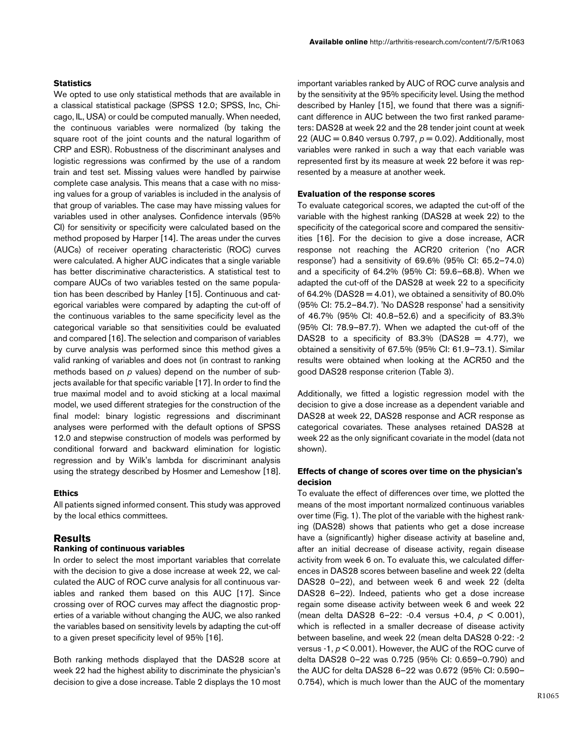## **Statistics**

We opted to use only statistical methods that are available in a classical statistical package (SPSS 12.0; SPSS, Inc, Chicago, IL, USA) or could be computed manually. When needed, the continuous variables were normalized (by taking the square root of the joint counts and the natural logarithm of CRP and ESR). Robustness of the discriminant analyses and logistic regressions was confirmed by the use of a random train and test set. Missing values were handled by pairwise complete case analysis. This means that a case with no missing values for a group of variables is included in the analysis of that group of variables. The case may have missing values for variables used in other analyses. Confidence intervals (95% CI) for sensitivity or specificity were calculated based on the method proposed by Harper [14]. The areas under the curves (AUCs) of receiver operating characteristic (ROC) curves were calculated. A higher AUC indicates that a single variable has better discriminative characteristics. A statistical test to compare AUCs of two variables tested on the same population has been described by Hanley [15]. Continuous and categorical variables were compared by adapting the cut-off of the continuous variables to the same specificity level as the categorical variable so that sensitivities could be evaluated and compared [16]. The selection and comparison of variables by curve analysis was performed since this method gives a valid ranking of variables and does not (in contrast to ranking methods based on *p* values) depend on the number of subjects available for that specific variable [17]. In order to find the true maximal model and to avoid sticking at a local maximal model, we used different strategies for the construction of the final model: binary logistic regressions and discriminant analyses were performed with the default options of SPSS 12.0 and stepwise construction of models was performed by conditional forward and backward elimination for logistic regression and by Wilk's lambda for discriminant analysis using the strategy described by Hosmer and Lemeshow [18].

#### **Ethics**

All patients signed informed consent. This study was approved by the local ethics committees.

## **Results**

#### **Ranking of continuous variables**

In order to select the most important variables that correlate with the decision to give a dose increase at week 22, we calculated the AUC of ROC curve analysis for all continuous variables and ranked them based on this AUC [17]. Since crossing over of ROC curves may affect the diagnostic properties of a variable without changing the AUC, we also ranked the variables based on sensitivity levels by adapting the cut-off to a given preset specificity level of 95% [16].

Both ranking methods displayed that the DAS28 score at week 22 had the highest ability to discriminate the physician's decision to give a dose increase. Table [2](#page-3-0) displays the 10 most

important variables ranked by AUC of ROC curve analysis and by the sensitivity at the 95% specificity level. Using the method described by Hanley [15], we found that there was a significant difference in AUC between the two first ranked parameters: DAS28 at week 22 and the 28 tender joint count at week 22 (AUC = 0.840 versus 0.797, *p* = 0.02). Additionally, most variables were ranked in such a way that each variable was represented first by its measure at week 22 before it was represented by a measure at another week.

#### **Evaluation of the response scores**

To evaluate categorical scores, we adapted the cut-off of the variable with the highest ranking (DAS28 at week 22) to the specificity of the categorical score and compared the sensitivities [16]. For the decision to give a dose increase, ACR response not reaching the ACR20 criterion ('no ACR response') had a sensitivity of 69.6% (95% CI: 65.2–74.0) and a specificity of 64.2% (95% CI: 59.6–68.8). When we adapted the cut-off of the DAS28 at week 22 to a specificity of 64.2% (DAS28 = 4.01), we obtained a sensitivity of 80.0% (95% CI: 75.2–84.7). 'No DAS28 response' had a sensitivity of 46.7% (95% CI: 40.8–52.6) and a specificity of 83.3% (95% CI: 78.9–87.7). When we adapted the cut-off of the DAS28 to a specificity of 83.3% (DAS28 = 4.77), we obtained a sensitivity of 67.5% (95% CI: 61.9–73.1). Similar results were obtained when looking at the ACR50 and the good DAS28 response criterion (Table [3\)](#page-3-1).

Additionally, we fitted a logistic regression model with the decision to give a dose increase as a dependent variable and DAS28 at week 22, DAS28 response and ACR response as categorical covariates. These analyses retained DAS28 at week 22 as the only significant covariate in the model (data not shown).

## **Effects of change of scores over time on the physician's decision**

To evaluate the effect of differences over time, we plotted the means of the most important normalized continuous variables over time (Fig. 1). The plot of the variable with the highest ranking (DAS28) shows that patients who get a dose increase have a (significantly) higher disease activity at baseline and, after an initial decrease of disease activity, regain disease activity from week 6 on. To evaluate this, we calculated differences in DAS28 scores between baseline and week 22 (delta DAS28 0–22), and between week 6 and week 22 (delta DAS28 6–22). Indeed, patients who get a dose increase regain some disease activity between week 6 and week 22 (mean delta DAS28 6–22: -0.4 versus +0.4, *p* < 0.001), which is reflected in a smaller decrease of disease activity between baseline, and week 22 (mean delta DAS28 0-22: -2 versus -1, *p* < 0.001). However, the AUC of the ROC curve of delta DAS28 0–22 was 0.725 (95% CI: 0.659–0.790) and the AUC for delta DAS28 6–22 was 0.672 (95% CI: 0.590– 0.754), which is much lower than the AUC of the momentary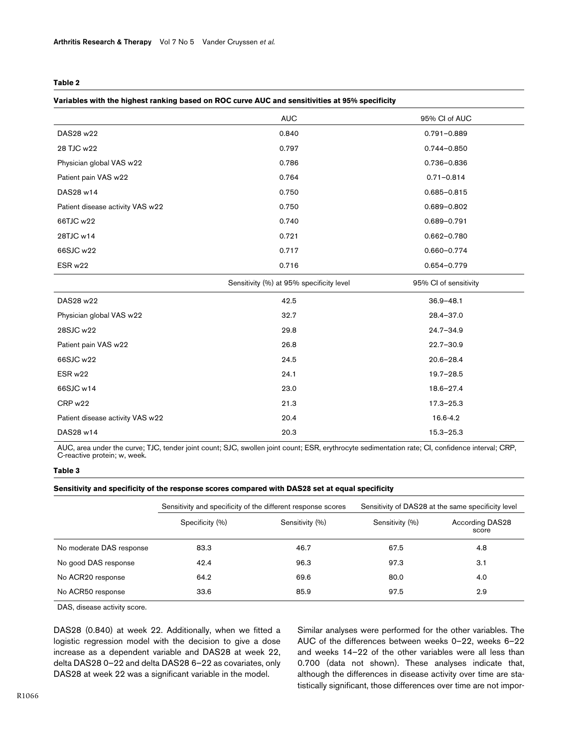#### <span id="page-3-0"></span>**Table 2**

#### **Variables with the highest ranking based on ROC curve AUC and sensitivities at 95% specificity**

|                                  | <b>AUC</b>                               | 95% Cl of AUC         |
|----------------------------------|------------------------------------------|-----------------------|
| DAS28 w22                        | 0.840                                    | $0.791 - 0.889$       |
| 28 TJC w22                       | 0.797                                    | $0.744 - 0.850$       |
| Physician global VAS w22         | 0.786                                    | 0.736-0.836           |
| Patient pain VAS w22             | 0.764                                    | $0.71 - 0.814$        |
| DAS28 w14                        | 0.750                                    | $0.685 - 0.815$       |
| Patient disease activity VAS w22 | 0.750                                    | 0.689-0.802           |
| 66TJC w22                        | 0.740                                    | $0.689 - 0.791$       |
| 28TJC w14                        | 0.721                                    | $0.662 - 0.780$       |
| 66SJC w22                        | 0.717                                    | 0.660-0.774           |
| ESR w22                          | 0.716                                    | 0.654-0.779           |
|                                  |                                          |                       |
|                                  | Sensitivity (%) at 95% specificity level | 95% CI of sensitivity |
| DAS28 w22                        | 42.5                                     | $36.9 - 48.1$         |
| Physician global VAS w22         | 32.7                                     | $28.4 - 37.0$         |
| 28SJC w22                        | 29.8                                     | $24.7 - 34.9$         |
| Patient pain VAS w22             | 26.8                                     | $22.7 - 30.9$         |
| 66SJC w22                        | 24.5                                     | $20.6 - 28.4$         |
| ESR w22                          | 24.1                                     | $19.7 - 28.5$         |
| 66SJC w14                        | 23.0                                     | $18.6 - 27.4$         |
| CRP w22                          | 21.3                                     | $17.3 - 25.3$         |
| Patient disease activity VAS w22 | 20.4                                     | 16.6-4.2              |

AUC, area under the curve; TJC, tender joint count; SJC, swollen joint count; ESR, erythrocyte sedimentation rate; CI, confidence interval; CRP, C-reactive protein; w, week.

#### <span id="page-3-1"></span>**Table 3**

#### **Sensitivity and specificity of the response scores compared with DAS28 set at equal specificity**

|                          | Sensitivity and specificity of the different response scores |                 | Sensitivity of DAS28 at the same specificity level |                                 |
|--------------------------|--------------------------------------------------------------|-----------------|----------------------------------------------------|---------------------------------|
|                          | Specificity (%)                                              | Sensitivity (%) | Sensitivity (%)                                    | <b>According DAS28</b><br>score |
| No moderate DAS response | 83.3                                                         | 46.7            | 67.5                                               | 4.8                             |
| No good DAS response     | 42.4                                                         | 96.3            | 97.3                                               | 3.1                             |
| No ACR20 response        | 64.2                                                         | 69.6            | 80.0                                               | 4.0                             |
| No ACR50 response        | 33.6                                                         | 85.9            | 97.5                                               | 2.9                             |

DAS, disease activity score.

DAS28 (0.840) at week 22. Additionally, when we fitted a logistic regression model with the decision to give a dose increase as a dependent variable and DAS28 at week 22, delta DAS28 0–22 and delta DAS28 6–22 as covariates, only DAS28 at week 22 was a significant variable in the model.

Similar analyses were performed for the other variables. The AUC of the differences between weeks 0–22, weeks 6–22 and weeks 14–22 of the other variables were all less than 0.700 (data not shown). These analyses indicate that, although the differences in disease activity over time are statistically significant, those differences over time are not impor-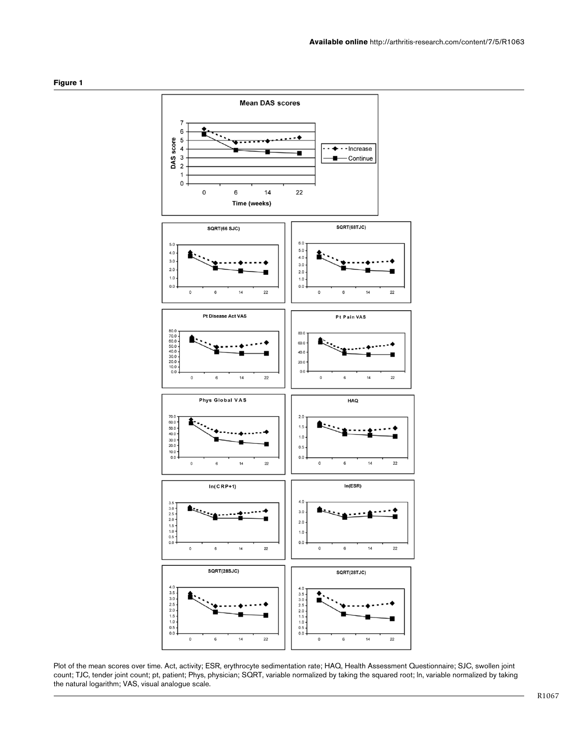



Plot of the mean scores over time. Act, activity; ESR, erythrocyte sedimentation rate; HAQ, Health Assessment Questionnaire; SJC, swollen joint count; TJC, tender joint count; pt, patient; Phys, physician; SQRT, variable normalized by taking the squared root; ln, variable normalized by taking the natural logarithm; VAS, visual analogue scale.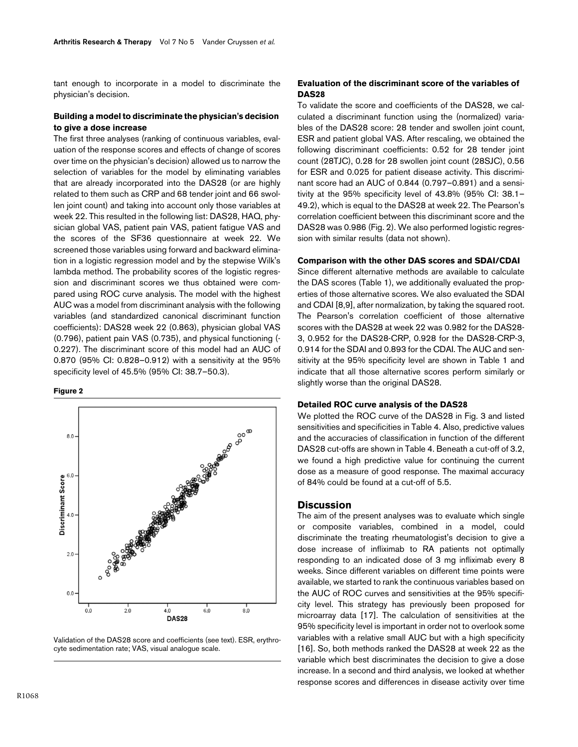tant enough to incorporate in a model to discriminate the physician's decision.

#### **Building a model to discriminate the physician's decision to give a dose increase**

The first three analyses (ranking of continuous variables, evaluation of the response scores and effects of change of scores over time on the physician's decision) allowed us to narrow the selection of variables for the model by eliminating variables that are already incorporated into the DAS28 (or are highly related to them such as CRP and 68 tender joint and 66 swollen joint count) and taking into account only those variables at week 22. This resulted in the following list: DAS28, HAQ, physician global VAS, patient pain VAS, patient fatigue VAS and the scores of the SF36 questionnaire at week 22. We screened those variables using forward and backward elimination in a logistic regression model and by the stepwise Wilk's lambda method. The probability scores of the logistic regression and discriminant scores we thus obtained were compared using ROC curve analysis. The model with the highest AUC was a model from discriminant analysis with the following variables (and standardized canonical discriminant function coefficients): DAS28 week 22 (0.863), physician global VAS (0.796), patient pain VAS (0.735), and physical functioning (- 0.227). The discriminant score of this model had an AUC of 0.870 (95% CI: 0.828–0.912) with a sensitivity at the 95% specificity level of 45.5% (95% CI: 38.7–50.3).

#### **Figure 2**





## **Evaluation of the discriminant score of the variables of DAS28**

To validate the score and coefficients of the DAS28, we calculated a discriminant function using the (normalized) variables of the DAS28 score: 28 tender and swollen joint count, ESR and patient global VAS. After rescaling, we obtained the following discriminant coefficients: 0.52 for 28 tender joint count (28TJC), 0.28 for 28 swollen joint count (28SJC), 0.56 for ESR and 0.025 for patient disease activity. This discriminant score had an AUC of 0.844 (0.797–0.891) and a sensitivity at the 95% specificity level of 43.8% (95% CI: 38.1– 49.2), which is equal to the DAS28 at week 22. The Pearson's correlation coefficient between this discriminant score and the DAS28 was 0.986 (Fig. 2). We also performed logistic regression with similar results (data not shown).

#### **Comparison with the other DAS scores and SDAI/CDAI**

Since different alternative methods are available to calculate the DAS scores (Table [1](#page-1-0)), we additionally evaluated the properties of those alternative scores. We also evaluated the SDAI and CDAI [8,9], after normalization, by taking the squared root. The Pearson's correlation coefficient of those alternative scores with the DAS28 at week 22 was 0.982 for the DAS28- 3, 0.952 for the DAS28-CRP, 0.928 for the DAS28-CRP-3, 0.914 for the SDAI and 0.893 for the CDAI. The AUC and sensitivity at the 95% specificity level are shown in Table [1](#page-1-0) and indicate that all those alternative scores perform similarly or slightly worse than the original DAS28.

### **Detailed ROC curve analysis of the DAS28**

We plotted the ROC curve of the DAS28 in Fig. 3 and listed sensitivities and specificities in Table [4](#page-6-0). Also, predictive values and the accuracies of classification in function of the different DAS28 cut-offs are shown in Table [4](#page-6-0). Beneath a cut-off of 3.2, we found a high predictive value for continuing the current dose as a measure of good response. The maximal accuracy of 84% could be found at a cut-off of 5.5.

#### **Discussion**

The aim of the present analyses was to evaluate which single or composite variables, combined in a model, could discriminate the treating rheumatologist's decision to give a dose increase of infliximab to RA patients not optimally responding to an indicated dose of 3 mg infliximab every 8 weeks. Since different variables on different time points were available, we started to rank the continuous variables based on the AUC of ROC curves and sensitivities at the 95% specificity level. This strategy has previously been proposed for microarray data [17]. The calculation of sensitivities at the 95% specificity level is important in order not to overlook some variables with a relative small AUC but with a high specificity [16]. So, both methods ranked the DAS28 at week 22 as the variable which best discriminates the decision to give a dose increase. In a second and third analysis, we looked at whether response scores and differences in disease activity over time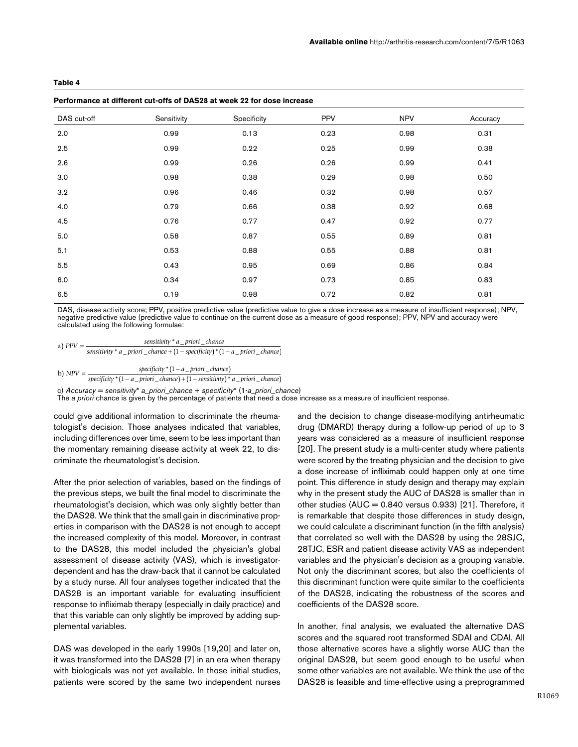<span id="page-6-0"></span>

| Performance at different cut-offs of DAS28 at week 22 for dose increase |  |
|-------------------------------------------------------------------------|--|
|                                                                         |  |

| DAS cut-off | Sensitivity | Specificity | <b>PPV</b> | <b>NPV</b> | Accuracy |
|-------------|-------------|-------------|------------|------------|----------|
| 2.0         | 0.99        | 0.13        | 0.23       | 0.98       | 0.31     |
| 2.5         | 0.99        | 0.22        | 0.25       | 0.99       | 0.38     |
| 2.6         | 0.99        | 0.26        | 0.26       | 0.99       | 0.41     |
| 3.0         | 0.98        | 0.38        | 0.29       | 0.98       | 0.50     |
| 3.2         | 0.96        | 0.46        | 0.32       | 0.98       | 0.57     |
| 4.0         | 0.79        | 0.66        | 0.38       | 0.92       | 0.68     |
| 4.5         | 0.76        | 0.77        | 0.47       | 0.92       | 0.77     |
| 5.0         | 0.58        | 0.87        | 0.55       | 0.89       | 0.81     |
| 5.1         | 0.53        | 0.88        | 0.55       | 0.88       | 0.81     |
| 5.5         | 0.43        | 0.95        | 0.69       | 0.86       | 0.84     |
| 6.0         | 0.34        | 0.97        | 0.73       | 0.85       | 0.83     |
| 6.5         | 0.19        | 0.98        | 0.72       | 0.82       | 0.81     |

DAS, disease activity score; PPV, positive predictive value (predictive value to give a dose increase as a measure of insufficient response); NPV, negative predictive value (predictive value to continue on the current dose as a measure of good response); PPV, NPV and accuracy were calculated using the following formulae:

a) 
$$
PPV = \frac{sensitivity * a\_priori\_chance}{sensitivity * a\_priori\_chance + (1 - specificity) * (1 - a\_priori\_chance)}
$$

b)  $NPV = \frac{\text{specificity}^*(1-a\_priori\_chance)}{(1-a\_priori\_chance)}$ *specificity* \*(1 − *a\_priori \_chance*)<br> *specificity* \*(1 − *a\_priori \_chance*) +(1 − *sensitivity*) \* *a\_priori \_chance*)

c) *Accuracy* = *sensitivity*\* *a*\_*priori\_chance* + *specificity*\* (1-*a*\_*priori*\_*chance*) The *a priori* chance is given by the percentage of patients that need a dose increase as a measure of insufficient response.

could give additional information to discriminate the rheumatologist's decision. Those analyses indicated that variables, including differences over time, seem to be less important than the momentary remaining disease activity at week 22, to discriminate the rheumatologist's decision.

After the prior selection of variables, based on the findings of the previous steps, we built the final model to discriminate the rheumatologist's decision, which was only slightly better than the DAS28. We think that the small gain in discriminative properties in comparison with the DAS28 is not enough to accept the increased complexity of this model. Moreover, in contrast to the DAS28, this model included the physician's global assessment of disease activity (VAS), which is investigatordependent and has the draw-back that it cannot be calculated by a study nurse. All four analyses together indicated that the DAS28 is an important variable for evaluating insufficient response to infliximab therapy (especially in daily practice) and that this variable can only slightly be improved by adding supplemental variables.

DAS was developed in the early 1990s [19,20] and later on, it was transformed into the DAS28 [7] in an era when therapy with biologicals was not yet available. In those initial studies, patients were scored by the same two independent nurses and the decision to change disease-modifying antirheumatic drug (DMARD) therapy during a follow-up period of up to 3 years was considered as a measure of insufficient response [20]. The present study is a multi-center study where patients were scored by the treating physician and the decision to give a dose increase of infliximab could happen only at one time point. This difference in study design and therapy may explain why in the present study the AUC of DAS28 is smaller than in other studies  $(AUC = 0.840$  versus 0.933) [21]. Therefore, it is remarkable that despite those differences in study design, we could calculate a discriminant function (in the fifth analysis) that correlated so well with the DAS28 by using the 28SJC, 28TJC, ESR and patient disease activity VAS as independent variables and the physician's decision as a grouping variable. Not only the discriminant scores, but also the coefficients of this discriminant function were quite similar to the coefficients of the DAS28, indicating the robustness of the scores and coefficients of the DAS28 score.

In another, final analysis, we evaluated the alternative DAS scores and the squared root transformed SDAI and CDAI. All those alternative scores have a slightly worse AUC than the original DAS28, but seem good enough to be useful when some other variables are not available. We think the use of the DAS28 is feasible and time-effective using a preprogrammed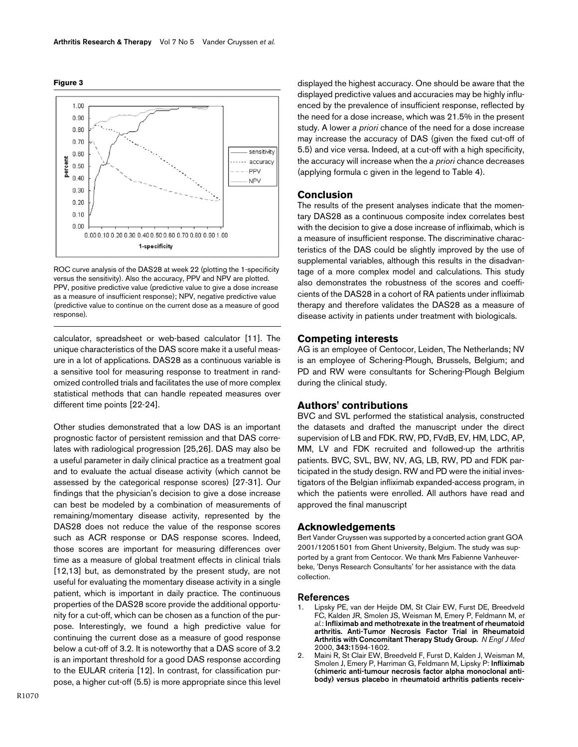



ROC curve analysis of the DAS28 at week 22 (plotting the 1-specificity versus the sensitivity). Also the accuracy, PPV and NPV are plotted. PPV, positive predictive value (predictive value to give a dose increase as a measure of insufficient response); NPV, negative predictive value (predictive value to continue on the current dose as a measure of good response).

calculator, spreadsheet or web-based calculator [11]. The unique characteristics of the DAS score make it a useful measure in a lot of applications. DAS28 as a continuous variable is a sensitive tool for measuring response to treatment in randomized controlled trials and facilitates the use of more complex statistical methods that can handle repeated measures over different time points [22-24].

Other studies demonstrated that a low DAS is an important prognostic factor of persistent remission and that DAS correlates with radiological progression [25,26]. DAS may also be a useful parameter in daily clinical practice as a treatment goal and to evaluate the actual disease activity (which cannot be assessed by the categorical response scores) [27-31]. Our findings that the physician's decision to give a dose increase can best be modeled by a combination of measurements of remaining/momentary disease activity, represented by the DAS28 does not reduce the value of the response scores such as ACR response or DAS response scores. Indeed, those scores are important for measuring differences over time as a measure of global treatment effects in clinical trials [12,13] but, as demonstrated by the present study, are not useful for evaluating the momentary disease activity in a single patient, which is important in daily practice. The continuous properties of the DAS28 score provide the additional opportunity for a cut-off, which can be chosen as a function of the purpose. Interestingly, we found a high predictive value for continuing the current dose as a measure of good response below a cut-off of 3.2. It is noteworthy that a DAS score of 3.2 is an important threshold for a good DAS response according to the EULAR criteria [12]. In contrast, for classification purpose, a higher cut-off (5.5) is more appropriate since this level

displayed the highest accuracy. One should be aware that the displayed predictive values and accuracies may be highly influenced by the prevalence of insufficient response, reflected by the need for a dose increase, which was 21.5% in the present study. A lower *a priori* chance of the need for a dose increase may increase the accuracy of DAS (given the fixed cut-off of 5.5) and vice versa. Indeed, at a cut-off with a high specificity, the accuracy will increase when the *a priori* chance decreases (applying formula c given in the legend to Table [4\)](#page-6-0).

#### **Conclusion**

The results of the present analyses indicate that the momentary DAS28 as a continuous composite index correlates best with the decision to give a dose increase of infliximab, which is a measure of insufficient response. The discriminative characteristics of the DAS could be slightly improved by the use of supplemental variables, although this results in the disadvantage of a more complex model and calculations. This study also demonstrates the robustness of the scores and coefficients of the DAS28 in a cohort of RA patients under infliximab therapy and therefore validates the DAS28 as a measure of disease activity in patients under treatment with biologicals.

#### **Competing interests**

AG is an employee of Centocor, Leiden, The Netherlands; NV is an employee of Schering-Plough, Brussels, Belgium; and PD and RW were consultants for Schering-Plough Belgium during the clinical study.

## **Authors' contributions**

BVC and SVL performed the statistical analysis, constructed the datasets and drafted the manuscript under the direct supervision of LB and FDK. RW, PD, FVdB, EV, HM, LDC, AP, MM, LV and FDK recruited and followed-up the arthritis patients. BVC, SVL, BW, NV, AG, LB, RW, PD and FDK participated in the study design. RW and PD were the initial investigators of the Belgian infliximab expanded-access program, in which the patients were enrolled. All authors have read and approved the final manuscript

#### **Acknowledgements**

Bert Vander Cruyssen was supported by a concerted action grant GOA 2001/12051501 from Ghent University, Belgium. The study was supported by a grant from Centocor. We thank Mrs Fabienne Vanheuverbeke, 'Denys Research Consultants' for her assistance with the data collection.

#### **References**

- Lipsky PE, van der Heijde DM, St Clair EW, Furst DE, Breedveld FC, Kalden JR, Smolen JS, Weisman M, Emery P, Feldmann M, *et al.*: **[Infliximab and methotrexate in the treatment of rheumatoid](http://www.ncbi.nlm.nih.gov/entrez/query.fcgi?cmd=Retrieve&db=PubMed&dopt=Abstract&list_uids=11096166) [arthritis. Anti-Tumor Necrosis Factor Trial in Rheumatoid](http://www.ncbi.nlm.nih.gov/entrez/query.fcgi?cmd=Retrieve&db=PubMed&dopt=Abstract&list_uids=11096166) [Arthritis with Concomitant Therapy Study Group.](http://www.ncbi.nlm.nih.gov/entrez/query.fcgi?cmd=Retrieve&db=PubMed&dopt=Abstract&list_uids=11096166)** *N Engl J Med* 2000, **343:**1594-1602.
- 2. Maini R, St Clair EW, Breedveld F, Furst D, Kalden J, Weisman M, Smolen J, Emery P, Harriman G, Feldmann M, Lipsky P: **[Infliximab](http://www.ncbi.nlm.nih.gov/entrez/query.fcgi?cmd=Retrieve&db=PubMed&dopt=Abstract&list_uids=10622295) [\(chimeric anti-tumour necrosis factor alpha monoclonal anti](http://www.ncbi.nlm.nih.gov/entrez/query.fcgi?cmd=Retrieve&db=PubMed&dopt=Abstract&list_uids=10622295)[body\) versus placebo in rheumatoid arthritis patients receiv-](http://www.ncbi.nlm.nih.gov/entrez/query.fcgi?cmd=Retrieve&db=PubMed&dopt=Abstract&list_uids=10622295)**